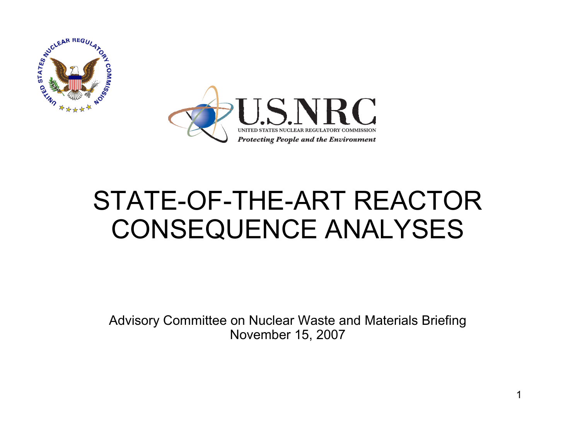



### STATE-OF-THE-ART REACTORCONSEQUENCE ANALYSES

Advisory Committee on Nuclear Waste and Materials Briefing November 15, 2007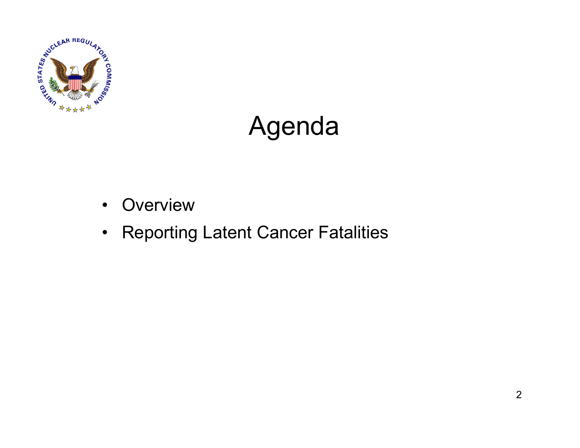

## Agenda

- $\bullet$ **Overview**
- Reporting Latent Cancer Fatalities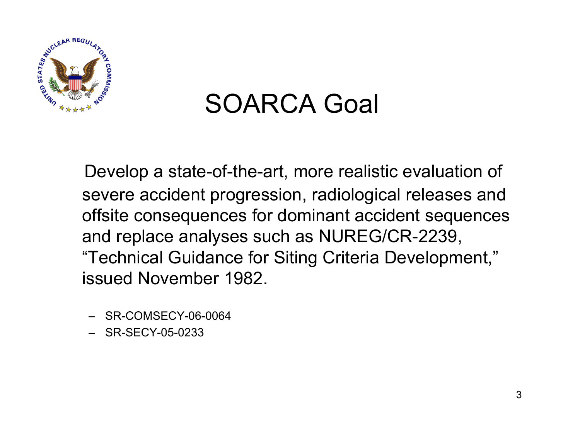

### SOARCA Goal

Develop a state-of-the-art, more realistic evaluation of severe accident progression, radiological releases and offsite consequences for dominant accident sequences and replace analyses such as NUREG/CR-2239, "Technical Guidance for Siting Criteria Development," issued November 1982.

- SR-COMSECY-06-0064
- SR-SECY-05-0233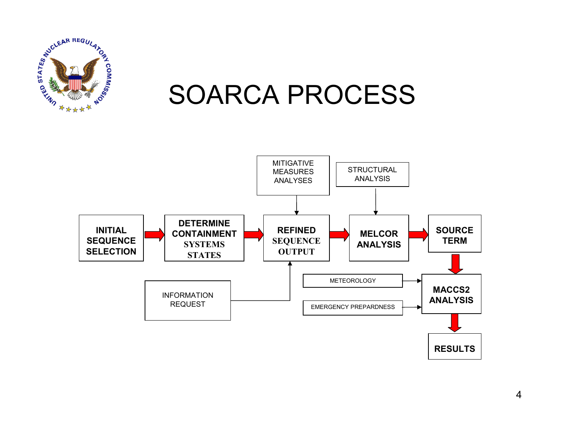

#### SOARCA PROCESS

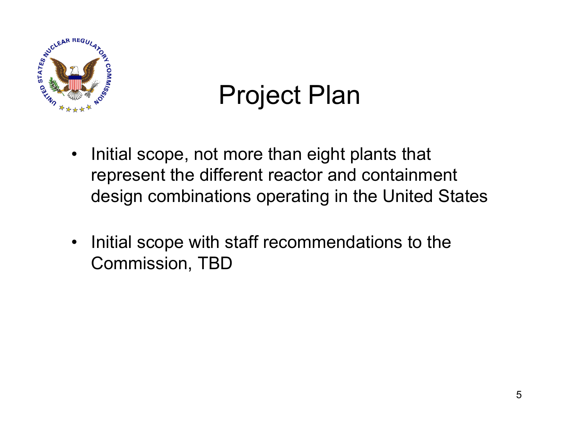

# Project Plan

- $\bullet$  Initial scope, not more than eight plants that represent the different reactor and containment design combinations operating in the United States
- $\bullet$  Initial scope with staff recommendations to the Commission, TBD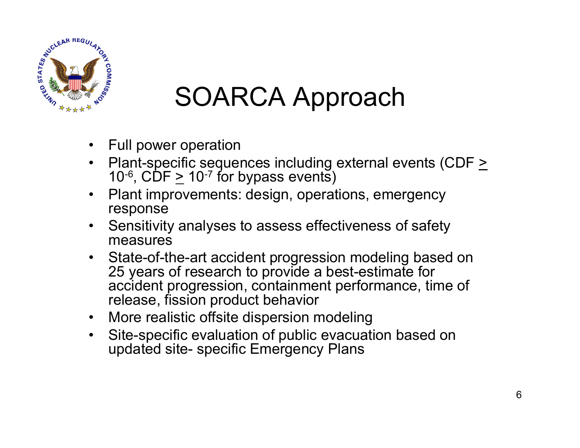

# SOARCA Approach

- $\bullet$ Full power operation
- •Plant-specific sequences including external events (CDF  $\geq$ 10<sup>-6</sup>, CDF  $\geq$  10<sup>-7</sup> for bypass events)
- $\bullet$  Plant improvements: design, operations, emergency response
- $\bullet$  Sensitivity analyses to assess effectiveness of safety measures
- • State-of-the-art accident progression modeling based on 25 years of research to provide a best-estimate for accident progression, containment performance, time of release, fission product behavior
- •More realistic offsite dispersion modeling
- • Site-specific evaluation of public evacuation based on updated site- specific Emergency Plans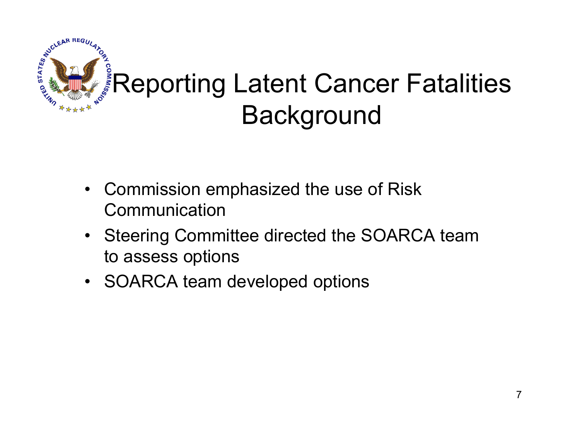

- Commission emphasized the use of Risk **Communication**
- Steering Committee directed the SOARCA team to assess options
- SOARCA team developed options